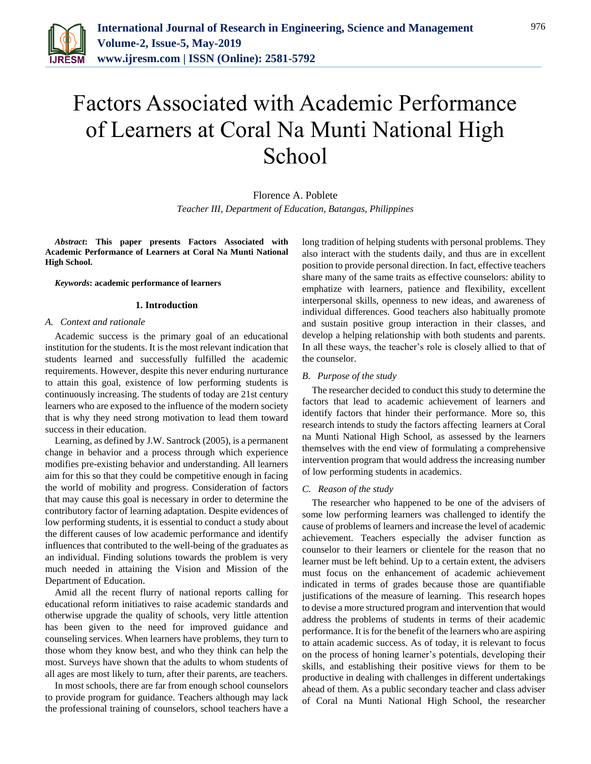

# Factors Associated with Academic Performance of Learners at Coral Na Munti National High **School**

Florence A. Poblete *Teacher III, Department of Education, Batangas, Philippines*

*Abstract***: This paper presents Factors Associated with Academic Performance of Learners at Coral Na Munti National High School.**

#### *Keywords***: academic performance of learners**

#### **1. Introduction**

#### *A. Context and rationale*

Academic success is the primary goal of an educational institution for the students. It is the most relevant indication that students learned and successfully fulfilled the academic requirements. However, despite this never enduring nurturance to attain this goal, existence of low performing students is continuously increasing. The students of today are 21st century learners who are exposed to the influence of the modern society that is why they need strong motivation to lead them toward success in their education.

Learning, as defined by J.W. Santrock (2005), is a permanent change in behavior and a process through which experience modifies pre-existing behavior and understanding. All learners aim for this so that they could be competitive enough in facing the world of mobility and progress. Consideration of factors that may cause this goal is necessary in order to determine the contributory factor of learning adaptation. Despite evidences of low performing students, it is essential to conduct a study about the different causes of low academic performance and identify influences that contributed to the well-being of the graduates as an individual. Finding solutions towards the problem is very much needed in attaining the Vision and Mission of the Department of Education.

Amid all the recent flurry of national reports calling for educational reform initiatives to raise academic standards and otherwise upgrade the quality of schools, very little attention has been given to the need for improved guidance and counseling services. When learners have problems, they turn to those whom they know best, and who they think can help the most. Surveys have shown that the adults to whom students of all ages are most likely to turn, after their parents, are teachers.

In most schools, there are far from enough school counselors to provide program for guidance. Teachers although may lack the professional training of counselors, school teachers have a

long tradition of helping students with personal problems. They also interact with the students daily, and thus are in excellent position to provide personal direction. In fact, effective teachers share many of the same traits as effective counselors: ability to emphatize with learners, patience and flexibility, excellent interpersonal skills, openness to new ideas, and awareness of individual differences. Good teachers also habitually promote and sustain positive group interaction in their classes, and develop a helping relationship with both students and parents. In all these ways, the teacher's role is closely allied to that of the counselor.

#### *B. Purpose of the study*

The researcher decided to conduct this study to determine the factors that lead to academic achievement of learners and identify factors that hinder their performance. More so, this research intends to study the factors affecting learners at Coral na Munti National High School, as assessed by the learners themselves with the end view of formulating a comprehensive intervention program that would address the increasing number of low performing students in academics.

#### *C. Reason of the study*

The researcher who happened to be one of the advisers of some low performing learners was challenged to identify the cause of problems of learners and increase the level of academic achievement. Teachers especially the adviser function as counselor to their learners or clientele for the reason that no learner must be left behind. Up to a certain extent, the advisers must focus on the enhancement of academic achievement indicated in terms of grades because those are quantifiable justifications of the measure of learning. This research hopes to devise a more structured program and intervention that would address the problems of students in terms of their academic performance. It is for the benefit of the learners who are aspiring to attain academic success. As of today, it is relevant to focus on the process of honing learner's potentials, developing their skills, and establishing their positive views for them to be productive in dealing with challenges in different undertakings ahead of them. As a public secondary teacher and class adviser of Coral na Munti National High School, the researcher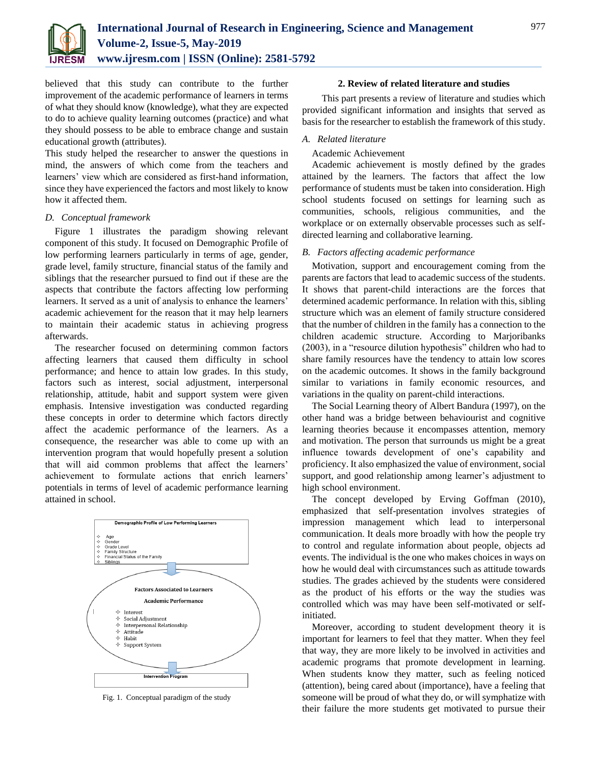

believed that this study can contribute to the further improvement of the academic performance of learners in terms of what they should know (knowledge), what they are expected to do to achieve quality learning outcomes (practice) and what they should possess to be able to embrace change and sustain educational growth (attributes).

This study helped the researcher to answer the questions in mind, the answers of which come from the teachers and learners' view which are considered as first-hand information, since they have experienced the factors and most likely to know how it affected them.

#### *D. Conceptual framework*

Figure 1 illustrates the paradigm showing relevant component of this study. It focused on Demographic Profile of low performing learners particularly in terms of age, gender, grade level, family structure, financial status of the family and siblings that the researcher pursued to find out if these are the aspects that contribute the factors affecting low performing learners. It served as a unit of analysis to enhance the learners' academic achievement for the reason that it may help learners to maintain their academic status in achieving progress afterwards.

The researcher focused on determining common factors affecting learners that caused them difficulty in school performance; and hence to attain low grades. In this study, factors such as interest, social adjustment, interpersonal relationship, attitude, habit and support system were given emphasis. Intensive investigation was conducted regarding these concepts in order to determine which factors directly affect the academic performance of the learners. As a consequence, the researcher was able to come up with an intervention program that would hopefully present a solution that will aid common problems that affect the learners' achievement to formulate actions that enrich learners' potentials in terms of level of academic performance learning attained in school.



Fig. 1. Conceptual paradigm of the study

#### **2. Review of related literature and studies**

This part presents a review of literature and studies which provided significant information and insights that served as basis for the researcher to establish the framework of this study.

#### *A. Related literature*

#### Academic Achievement

Academic achievement is mostly defined by the grades attained by the learners. The factors that affect the low performance of students must be taken into consideration. High school students focused on settings for learning such as communities, schools, religious communities, and the workplace or on externally observable processes such as selfdirected learning and collaborative learning.

#### *B. Factors affecting academic performance*

Motivation, support and encouragement coming from the parents are factors that lead to academic success of the students. It shows that parent-child interactions are the forces that determined academic performance. In relation with this, sibling structure which was an element of family structure considered that the number of children in the family has a connection to the children academic structure. According to Marjoribanks (2003), in a "resource dilution hypothesis" children who had to share family resources have the tendency to attain low scores on the academic outcomes. It shows in the family background similar to variations in family economic resources, and variations in the quality on parent-child interactions.

The Social Learning theory of Albert Bandura (1997), on the other hand was a bridge between behaviourist and cognitive learning theories because it encompasses attention, memory and motivation. The person that surrounds us might be a great influence towards development of one's capability and proficiency. It also emphasized the value of environment, social support, and good relationship among learner's adjustment to high school environment.

The concept developed by Erving Goffman (2010), emphasized that self-presentation involves strategies of impression management which lead to interpersonal communication. It deals more broadly with how the people try to control and regulate information about people, objects ad events. The individual is the one who makes choices in ways on how he would deal with circumstances such as attitude towards studies. The grades achieved by the students were considered as the product of his efforts or the way the studies was controlled which was may have been self-motivated or selfinitiated.

Moreover, according to student development theory it is important for learners to feel that they matter. When they feel that way, they are more likely to be involved in activities and academic programs that promote development in learning. When students know they matter, such as feeling noticed (attention), being cared about (importance), have a feeling that someone will be proud of what they do, or will symphatize with their failure the more students get motivated to pursue their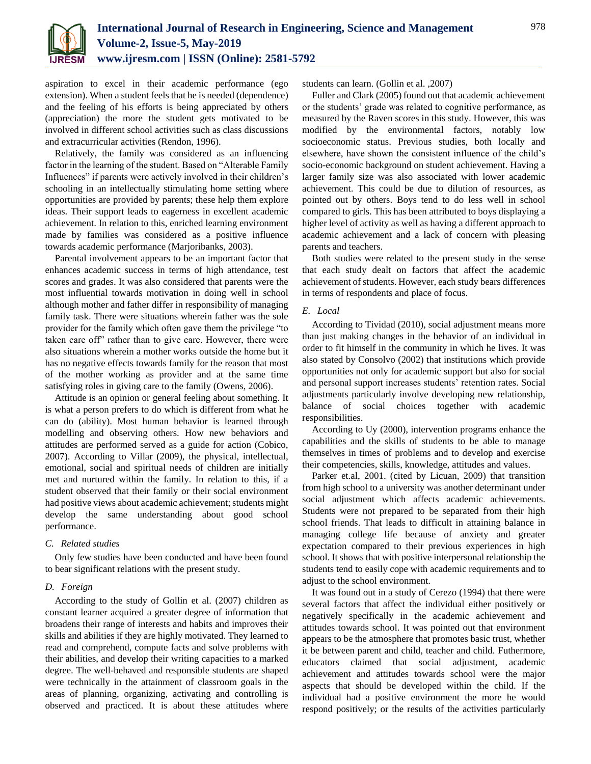

aspiration to excel in their academic performance (ego extension). When a student feels that he is needed (dependence) and the feeling of his efforts is being appreciated by others (appreciation) the more the student gets motivated to be involved in different school activities such as class discussions and extracurricular activities (Rendon, 1996).

Relatively, the family was considered as an influencing factor in the learning of the student. Based on "Alterable Family Influences" if parents were actively involved in their children's schooling in an intellectually stimulating home setting where opportunities are provided by parents; these help them explore ideas. Their support leads to eagerness in excellent academic achievement. In relation to this, enriched learning environment made by families was considered as a positive influence towards academic performance (Marjoribanks, 2003).

Parental involvement appears to be an important factor that enhances academic success in terms of high attendance, test scores and grades. It was also considered that parents were the most influential towards motivation in doing well in school although mother and father differ in responsibility of managing family task. There were situations wherein father was the sole provider for the family which often gave them the privilege "to taken care off" rather than to give care. However, there were also situations wherein a mother works outside the home but it has no negative effects towards family for the reason that most of the mother working as provider and at the same time satisfying roles in giving care to the family (Owens, 2006).

Attitude is an opinion or general feeling about something. It is what a person prefers to do which is different from what he can do (ability). Most human behavior is learned through modelling and observing others. How new behaviors and attitudes are performed served as a guide for action (Cobico, 2007). According to Villar (2009), the physical, intellectual, emotional, social and spiritual needs of children are initially met and nurtured within the family. In relation to this, if a student observed that their family or their social environment had positive views about academic achievement; students might develop the same understanding about good school performance.

#### *C. Related studies*

Only few studies have been conducted and have been found to bear significant relations with the present study.

#### *D. Foreign*

According to the study of Gollin et al. (2007) children as constant learner acquired a greater degree of information that broadens their range of interests and habits and improves their skills and abilities if they are highly motivated. They learned to read and comprehend, compute facts and solve problems with their abilities, and develop their writing capacities to a marked degree. The well-behaved and responsible students are shaped were technically in the attainment of classroom goals in the areas of planning, organizing, activating and controlling is observed and practiced. It is about these attitudes where students can learn. (Gollin et al. ,2007)

Fuller and Clark (2005) found out that academic achievement or the students' grade was related to cognitive performance, as measured by the Raven scores in this study. However, this was modified by the environmental factors, notably low socioeconomic status. Previous studies, both locally and elsewhere, have shown the consistent influence of the child's socio-economic background on student achievement. Having a larger family size was also associated with lower academic achievement. This could be due to dilution of resources, as pointed out by others. Boys tend to do less well in school compared to girls. This has been attributed to boys displaying a higher level of activity as well as having a different approach to academic achievement and a lack of concern with pleasing parents and teachers.

Both studies were related to the present study in the sense that each study dealt on factors that affect the academic achievement of students. However, each study bears differences in terms of respondents and place of focus.

#### *E. Local*

According to Tividad (2010), social adjustment means more than just making changes in the behavior of an individual in order to fit himself in the community in which he lives. It was also stated by Consolvo (2002) that institutions which provide opportunities not only for academic support but also for social and personal support increases students' retention rates. Social adjustments particularly involve developing new relationship, balance of social choices together with academic responsibilities.

According to Uy (2000), intervention programs enhance the capabilities and the skills of students to be able to manage themselves in times of problems and to develop and exercise their competencies, skills, knowledge, attitudes and values.

Parker et.al, 2001. (cited by Licuan, 2009) that transition from high school to a university was another determinant under social adjustment which affects academic achievements. Students were not prepared to be separated from their high school friends. That leads to difficult in attaining balance in managing college life because of anxiety and greater expectation compared to their previous experiences in high school. It shows that with positive interpersonal relationship the students tend to easily cope with academic requirements and to adjust to the school environment.

It was found out in a study of Cerezo (1994) that there were several factors that affect the individual either positively or negatively specifically in the academic achievement and attitudes towards school. It was pointed out that environment appears to be the atmosphere that promotes basic trust, whether it be between parent and child, teacher and child. Futhermore, educators claimed that social adjustment, academic achievement and attitudes towards school were the major aspects that should be developed within the child. If the individual had a positive environment the more he would respond positively; or the results of the activities particularly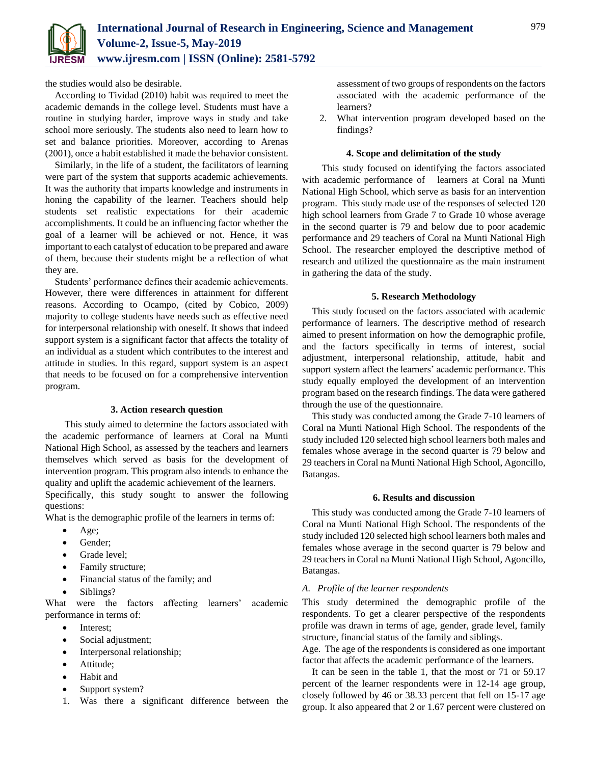the studies would also be desirable.

According to Tividad (2010) habit was required to meet the academic demands in the college level. Students must have a routine in studying harder, improve ways in study and take school more seriously. The students also need to learn how to set and balance priorities. Moreover, according to Arenas (2001), once a habit established it made the behavior consistent.

Similarly, in the life of a student, the facilitators of learning were part of the system that supports academic achievements. It was the authority that imparts knowledge and instruments in honing the capability of the learner. Teachers should help students set realistic expectations for their academic accomplishments. It could be an influencing factor whether the goal of a learner will be achieved or not. Hence, it was important to each catalyst of education to be prepared and aware of them, because their students might be a reflection of what they are.

Students' performance defines their academic achievements. However, there were differences in attainment for different reasons. According to Ocampo, (cited by Cobico, 2009) majority to college students have needs such as effective need for interpersonal relationship with oneself. It shows that indeed support system is a significant factor that affects the totality of an individual as a student which contributes to the interest and attitude in studies. In this regard, support system is an aspect that needs to be focused on for a comprehensive intervention program.

#### **3. Action research question**

This study aimed to determine the factors associated with the academic performance of learners at Coral na Munti National High School, as assessed by the teachers and learners themselves which served as basis for the development of intervention program. This program also intends to enhance the quality and uplift the academic achievement of the learners.

Specifically, this study sought to answer the following questions:

What is the demographic profile of the learners in terms of:

- Age;
- Gender;
- Grade level;
- Family structure;
- Financial status of the family; and
- Siblings?

What were the factors affecting learners' academic performance in terms of:

- Interest;
- Social adjustment;
- Interpersonal relationship;
- Attitude;
- Habit and
- Support system?
- 1. Was there a significant difference between the

assessment of two groups of respondents on the factors associated with the academic performance of the learners?

2. What intervention program developed based on the findings?

#### **4. Scope and delimitation of the study**

This study focused on identifying the factors associated with academic performance of learners at Coral na Munti National High School, which serve as basis for an intervention program. This study made use of the responses of selected 120 high school learners from Grade 7 to Grade 10 whose average in the second quarter is 79 and below due to poor academic performance and 29 teachers of Coral na Munti National High School. The researcher employed the descriptive method of research and utilized the questionnaire as the main instrument in gathering the data of the study.

#### **5. Research Methodology**

This study focused on the factors associated with academic performance of learners. The descriptive method of research aimed to present information on how the demographic profile, and the factors specifically in terms of interest, social adjustment, interpersonal relationship, attitude, habit and support system affect the learners' academic performance. This study equally employed the development of an intervention program based on the research findings. The data were gathered through the use of the questionnaire.

This study was conducted among the Grade 7-10 learners of Coral na Munti National High School. The respondents of the study included 120 selected high school learners both males and females whose average in the second quarter is 79 below and 29 teachers in Coral na Munti National High School, Agoncillo, Batangas.

#### **6. Results and discussion**

This study was conducted among the Grade 7-10 learners of Coral na Munti National High School. The respondents of the study included 120 selected high school learners both males and females whose average in the second quarter is 79 below and 29 teachers in Coral na Munti National High School, Agoncillo, Batangas.

#### *A. Profile of the learner respondents*

This study determined the demographic profile of the respondents. To get a clearer perspective of the respondents profile was drawn in terms of age, gender, grade level, family structure, financial status of the family and siblings.

Age. The age of the respondents is considered as one important factor that affects the academic performance of the learners.

It can be seen in the table 1, that the most or 71 or 59.17 percent of the learner respondents were in 12-14 age group, closely followed by 46 or 38.33 percent that fell on 15-17 age group. It also appeared that 2 or 1.67 percent were clustered on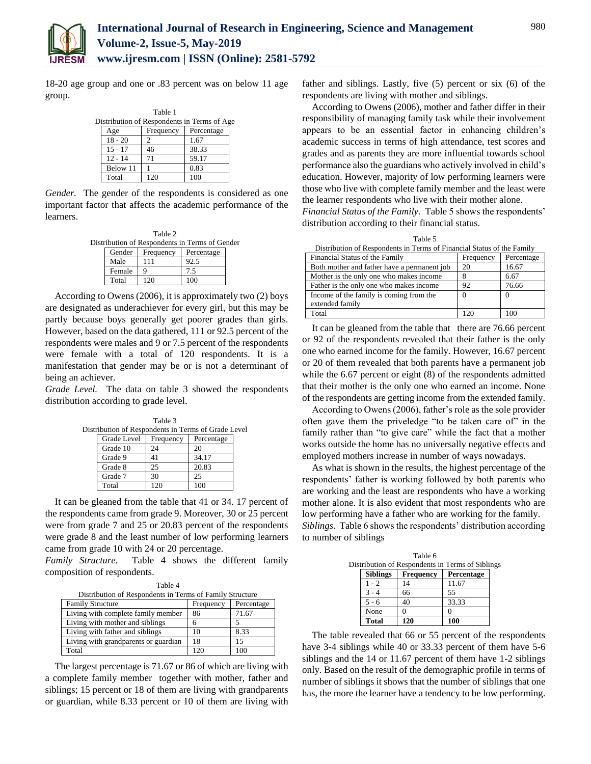

18-20 age group and one or .83 percent was on below 11 age group.

| Table 1 |           |           |                                             |  |  |  |  |  |
|---------|-----------|-----------|---------------------------------------------|--|--|--|--|--|
|         |           |           | Distribution of Respondents in Terms of Age |  |  |  |  |  |
|         | Age       | Frequency | Percentage                                  |  |  |  |  |  |
|         | $18 - 20$ | 2         | 1.67                                        |  |  |  |  |  |
|         | $15 - 17$ | 46        | 38.33                                       |  |  |  |  |  |
|         | $12 - 14$ | 71        | 59.17                                       |  |  |  |  |  |
|         | Below 11  |           | 0.83                                        |  |  |  |  |  |
|         | Total     | 120       | 100                                         |  |  |  |  |  |

*Gender.* The gender of the respondents is considered as one important factor that affects the academic performance of the learners.

|        | Table 2   |                                                |  |
|--------|-----------|------------------------------------------------|--|
|        |           | Distribution of Respondents in Terms of Gender |  |
| Gender | Frequency | Percentage                                     |  |
| Male   | 111       | 92.5                                           |  |
| Female |           | 75                                             |  |
| Total  | 120       |                                                |  |

According to Owens (2006), it is approximately two (2) boys are designated as underachiever for every girl, but this may be partly because boys generally get poorer grades than girls. However, based on the data gathered, 111 or 92.5 percent of the respondents were males and 9 or 7.5 percent of the respondents were female with a total of 120 respondents. It is a manifestation that gender may be or is not a determinant of being an achiever.

*Grade Level.* The data on table 3 showed the respondents distribution according to grade level.

Table 3 in Terms of Grade Level

| stribution of Respondents in Terms of Grade Lev |           |            |  |
|-------------------------------------------------|-----------|------------|--|
| Grade Level                                     | Frequency | Percentage |  |
| Grade 10                                        | 24        | 20         |  |
| Grade 9                                         | 41        | 34.17      |  |
| Grade 8                                         | 25        | 20.83      |  |
| Grade 7                                         | 30        | 25         |  |
| Total                                           | 120       | 100        |  |

It can be gleaned from the table that 41 or 34. 17 percent of the respondents came from grade 9. Moreover, 30 or 25 percent were from grade 7 and 25 or 20.83 percent of the respondents were grade 8 and the least number of low performing learners came from grade 10 with 24 or 20 percentage.

*Family Structure.* Table 4 shows the different family composition of respondents.

| Table 4                                                             |  |
|---------------------------------------------------------------------|--|
| $\mathcal{L}$ and $\mathcal{L}$ and $\mathcal{L}$ and $\mathcal{L}$ |  |

| Distribution of Respondents in Terms of Family Structure |           |            |  |  |  |  |
|----------------------------------------------------------|-----------|------------|--|--|--|--|
| <b>Family Structure</b>                                  | Frequency | Percentage |  |  |  |  |
| Living with complete family member                       | 86        | 71.67      |  |  |  |  |
| Living with mother and siblings                          | n         |            |  |  |  |  |
| Living with father and siblings                          | 10        | 8.33       |  |  |  |  |
| Living with grandparents or guardian                     | 18        | 15         |  |  |  |  |
| Total                                                    | 120       | 100        |  |  |  |  |

The largest percentage is 71.67 or 86 of which are living with a complete family member together with mother, father and siblings; 15 percent or 18 of them are living with grandparents or guardian, while 8.33 percent or 10 of them are living with

father and siblings. Lastly, five (5) percent or six (6) of the respondents are living with mother and siblings.

According to Owens (2006), mother and father differ in their responsibility of managing family task while their involvement appears to be an essential factor in enhancing children's academic success in terms of high attendance, test scores and grades and as parents they are more influential towards school performance also the guardians who actively involved in child's education. However, majority of low performing learners were those who live with complete family member and the least were the learner respondents who live with their mother alone.

*Financial Status of the Family.* Table 5 shows the respondents' distribution according to their financial status.

| ٧<br>I |  |
|--------|--|
|--------|--|

| Distribution of Respondents in Terms of Financial Status of the Family |           |            |  |  |  |  |
|------------------------------------------------------------------------|-----------|------------|--|--|--|--|
| Financial Status of the Family                                         | Frequency | Percentage |  |  |  |  |
| Both mother and father have a permanent job                            | 20        | 16.67      |  |  |  |  |
| Mother is the only one who makes income                                |           | 6.67       |  |  |  |  |
| Father is the only one who makes income                                | 92        | 76.66      |  |  |  |  |
| Income of the family is coming from the                                | $\Omega$  | $\Omega$   |  |  |  |  |
| extended family                                                        |           |            |  |  |  |  |
| Total                                                                  | 120       | 100        |  |  |  |  |

It can be gleaned from the table that there are 76.66 percent or 92 of the respondents revealed that their father is the only one who earned income for the family. However, 16.67 percent or 20 of them revealed that both parents have a permanent job while the 6.67 percent or eight (8) of the respondents admitted that their mother is the only one who earned an income. None of the respondents are getting income from the extended family.

According to Owens (2006), father's role as the sole provider often gave them the priveledge "to be taken care of" in the family rather than "to give care" while the fact that a mother works outside the home has no universally negative effects and employed mothers increase in number of ways nowadays.

As what is shown in the results, the highest percentage of the respondents' father is working followed by both parents who are working and the least are respondents who have a working mother alone. It is also evident that most respondents who are low performing have a father who are working for the family. *Siblings.* Table 6 shows the respondents' distribution according to number of siblings

|                 | Table 6          |                                                  |  |
|-----------------|------------------|--------------------------------------------------|--|
|                 |                  | Distribution of Respondents in Terms of Siblings |  |
| <b>Siblings</b> | <b>Frequency</b> | Percentage                                       |  |
| 1 - 2           | 14               | 11.67                                            |  |
|                 | 66               | 55                                               |  |
| $5 - 6$         | 40               | 33.33                                            |  |
| None            |                  |                                                  |  |
| <b>Total</b>    | 120              | 100                                              |  |

The table revealed that 66 or 55 percent of the respondents have 3-4 siblings while 40 or 33.33 percent of them have 5-6 siblings and the 14 or 11.67 percent of them have 1-2 siblings only. Based on the result of the demographic profile in terms of number of siblings it shows that the number of siblings that one has, the more the learner have a tendency to be low performing.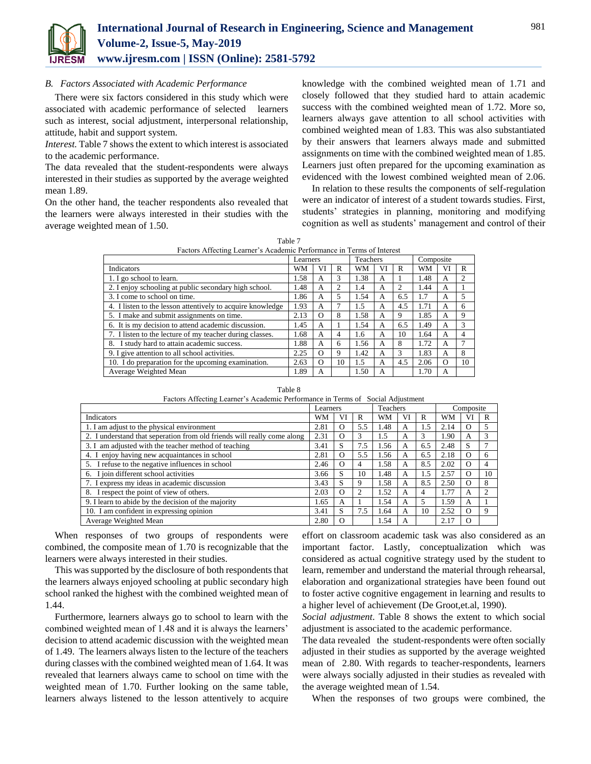

*B. Factors Associated with Academic Performance*

There were six factors considered in this study which were associated with academic performance of selected learners such as interest, social adjustment, interpersonal relationship, attitude, habit and support system.

*Interest.* Table 7 shows the extent to which interest is associated to the academic performance.

The data revealed that the student-respondents were always interested in their studies as supported by the average weighted mean 1.89.

On the other hand, the teacher respondents also revealed that the learners were always interested in their studies with the average weighted mean of 1.50.

knowledge with the combined weighted mean of 1.71 and closely followed that they studied hard to attain academic success with the combined weighted mean of 1.72. More so, learners always gave attention to all school activities with combined weighted mean of 1.83. This was also substantiated by their answers that learners always made and submitted assignments on time with the combined weighted mean of 1.85. Learners just often prepared for the upcoming examination as evidenced with the lowest combined weighted mean of 2.06.

In relation to these results the components of self-regulation were an indicator of interest of a student towards studies. First, students' strategies in planning, monitoring and modifying cognition as well as students' management and control of their

| Table 7                                                               |
|-----------------------------------------------------------------------|
| Factors Affecting Learner's Academic Performance in Terms of Interest |

|                                                            |      | Learners |                | <b>Teachers</b> |    |     | Composite |          |                |
|------------------------------------------------------------|------|----------|----------------|-----------------|----|-----|-----------|----------|----------------|
| Indicators                                                 |      | VI       | R              | WМ              | VI | R   | WM        | VI       | R              |
| 1. I go school to learn.                                   | 1.58 | A        | 3              | 1.38            | A  |     | 1.48      | A        | $\overline{c}$ |
| 2. I enjoy schooling at public secondary high school.      | 1.48 | А        | $\overline{c}$ | 1.4             | A  | 2   | 1.44      | А        |                |
| 3. I come to school on time.                               | 1.86 | A        | 5              | 1.54            | A  | 6.5 | 1.7       | A        | 5              |
| 4. I listen to the lesson attentively to acquire knowledge | 1.93 | A        |                | 1.5             | A  | 4.5 | 1.71      | A        | 6              |
| 5. I make and submit assignments on time.                  | 2.13 | $\Omega$ | 8              | 1.58            | A  | 9   | 1.85      | A        | 9              |
| 6. It is my decision to attend academic discussion.        | 1.45 | A        |                | 1.54            | A  | 6.5 | 1.49      | A        | 3              |
| 7. I listen to the lecture of my teacher during classes.   | 1.68 | A        | 4              | 1.6             | A  | 10  | 1.64      | A        | 4              |
| 8. I study hard to attain academic success.                | 1.88 | A        | 6              | 1.56            | A  | 8   | 1.72      | A        |                |
| 9. I give attention to all school activities.              | 2.25 | $\Omega$ | 9              | 1.42            | A  | 3   | 1.83      | A        | 8              |
| 10. I do preparation for the upcoming examination.         | 2.63 | $\Omega$ | 10             | 1.5             | A  | 4.5 | 2.06      | $\Omega$ | 10             |
| Average Weighted Mean                                      | 1.89 | A        |                | 1.50            | А  |     | 1.70      | A        |                |

Table 8

| Factors Affecting Learner's Academic Performance in Terms of Social Adjustment |  |  |  |
|--------------------------------------------------------------------------------|--|--|--|

|                                                                         | Learners |          |     | Teachers |    |     | Composite |          |    |
|-------------------------------------------------------------------------|----------|----------|-----|----------|----|-----|-----------|----------|----|
| <b>Indicators</b><br>WM                                                 |          | VI       | R   | WM       | VI | R   | <b>WM</b> | VI       | R  |
| 1. I am adjust to the physical environment                              | 2.81     | Ω        | 5.5 | 1.48     | A  | 1.5 | 2.14      | $\Omega$ |    |
| 2. I understand that seperation from old friends will really come along | 2.31     | $\Omega$ | 3   | 1.5      | А  | 3   | 1.90      | A        |    |
| 3. I am adjusted with the teacher method of teaching                    | 3.41     | S        | 7.5 | 1.56     | А  | 6.5 | 2.48      | S        |    |
| 4. I enjoy having new acquaintances in school                           | 2.81     | O        | 5.5 | 1.56     | А  | 6.5 | 2.18      | $\Omega$ | h  |
| 5. I refuse to the negative influences in school                        | 2.46     | O        | 4   | 1.58     | A  | 8.5 | 2.02      | $\Omega$ |    |
| 6. I join different school activities                                   | 3.66     | S        | 10  | 1.48     | А  | 1.5 | 2.57      | $\Omega$ | 10 |
| 7. I express my ideas in academic discussion                            | 3.43     | S        | 9   | 1.58     | А  | 8.5 | 2.50      | $\Omega$ | 8  |
| 8. I respect the point of view of others.                               | 2.03     | O        |     | 1.52     | A  | 4   | 1.77      | A        |    |
| 9. I learn to abide by the decision of the majority                     | 1.65     | A        |     | 1.54     | A  | 5   | 1.59      | A        |    |
| 10. I am confident in expressing opinion                                |          | S        | 7.5 | 1.64     | A  | 10  | 2.52      | $\Omega$ |    |
| Average Weighted Mean                                                   | 2.80     | $\Omega$ |     | 1.54     | А  |     | 2.17      | $\Omega$ |    |

When responses of two groups of respondents were combined, the composite mean of 1.70 is recognizable that the learners were always interested in their studies.

This was supported by the disclosure of both respondents that the learners always enjoyed schooling at public secondary high school ranked the highest with the combined weighted mean of 1.44.

Furthermore, learners always go to school to learn with the combined weighted mean of 1.48 and it is always the learners' decision to attend academic discussion with the weighted mean of 1.49. The learners always listen to the lecture of the teachers during classes with the combined weighted mean of 1.64. It was revealed that learners always came to school on time with the weighted mean of 1.70. Further looking on the same table, learners always listened to the lesson attentively to acquire

effort on classroom academic task was also considered as an important factor. Lastly, conceptualization which was considered as actual cognitive strategy used by the student to learn, remember and understand the material through rehearsal, elaboration and organizational strategies have been found out to foster active cognitive engagement in learning and results to a higher level of achievement (De Groot,et.al, 1990).

*Social adjustment*. Table 8 shows the extent to which social adjustment is associated to the academic performance.

The data revealed the student-respondents were often socially adjusted in their studies as supported by the average weighted mean of 2.80. With regards to teacher-respondents, learners were always socially adjusted in their studies as revealed with the average weighted mean of 1.54.

When the responses of two groups were combined, the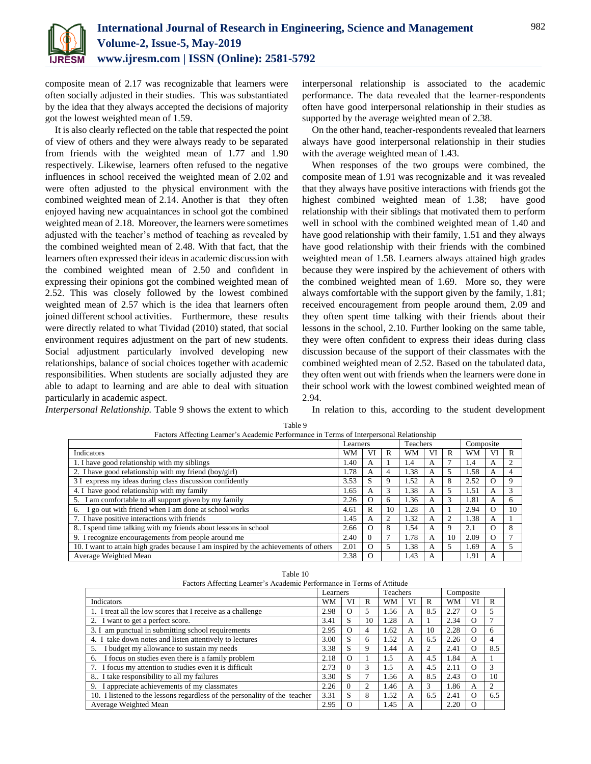

composite mean of 2.17 was recognizable that learners were often socially adjusted in their studies. This was substantiated by the idea that they always accepted the decisions of majority got the lowest weighted mean of 1.59.

It is also clearly reflected on the table that respected the point of view of others and they were always ready to be separated from friends with the weighted mean of 1.77 and 1.90 respectively. Likewise, learners often refused to the negative influences in school received the weighted mean of 2.02 and were often adjusted to the physical environment with the combined weighted mean of 2.14. Another is that they often enjoyed having new acquaintances in school got the combined weighted mean of 2.18. Moreover, the learners were sometimes adjusted with the teacher's method of teaching as revealed by the combined weighted mean of 2.48. With that fact, that the learners often expressed their ideas in academic discussion with the combined weighted mean of 2.50 and confident in expressing their opinions got the combined weighted mean of 2.52. This was closely followed by the lowest combined weighted mean of 2.57 which is the idea that learners often joined different school activities. Furthermore, these results were directly related to what Tividad (2010) stated, that social environment requires adjustment on the part of new students. Social adjustment particularly involved developing new relationships, balance of social choices together with academic responsibilities. When students are socially adjusted they are able to adapt to learning and are able to deal with situation particularly in academic aspect.

interpersonal relationship is associated to the academic performance. The data revealed that the learner-respondents often have good interpersonal relationship in their studies as supported by the average weighted mean of 2.38.

On the other hand, teacher-respondents revealed that learners always have good interpersonal relationship in their studies with the average weighted mean of 1.43.

When responses of the two groups were combined, the composite mean of 1.91 was recognizable and it was revealed that they always have positive interactions with friends got the highest combined weighted mean of 1.38; have good relationship with their siblings that motivated them to perform well in school with the combined weighted mean of 1.40 and have good relationship with their family, 1.51 and they always have good relationship with their friends with the combined weighted mean of 1.58. Learners always attained high grades because they were inspired by the achievement of others with the combined weighted mean of 1.69. More so, they were always comfortable with the support given by the family, 1.81; received encouragement from people around them, 2.09 and they often spent time talking with their friends about their lessons in the school, 2.10. Further looking on the same table, they were often confident to express their ideas during class discussion because of the support of their classmates with the combined weighted mean of 2.52. Based on the tabulated data, they often went out with friends when the learners were done in their school work with the lowest combined weighted mean of 2.94.

*Interpersonal Relationship.* Table 9 shows the extent to which

In relation to this, according to the student development

|                                                                                      | Learners |          |    | Teachers  |    |    | Composite |          |    |
|--------------------------------------------------------------------------------------|----------|----------|----|-----------|----|----|-----------|----------|----|
| Indicators                                                                           | WM       | VI       | R  | <b>WM</b> | VI | R  | WM        | VI       | R  |
| 1. I have good relationship with my siblings                                         | 1.40     | A        |    | 1.4       | A  |    | 1.4       | A        |    |
| 2. I have good relationship with my friend (boy/girl)                                | 1.78     | A        | 4  | 1.38      | A  |    | 1.58      | A        |    |
| 3 I express my ideas during class discussion confidently                             | 3.53     | S        | 9  | l.52      | A  | 8  | 2.52      | $\Omega$ |    |
| 4. I have good relationship with my family                                           | 1.65     | A        | 3  | L.38      | A  |    | 1.51      | A        |    |
| 5. I am comfortable to all support given by my family                                | 2.26     | $\Omega$ | 6  | 1.36      | A  | 3  | 1.81      | A        | 6  |
| 6. I go out with friend when I am done at school works                               | 4.61     | R        | 10 | 1.28      | A  |    | 2.94      | $\Omega$ | 10 |
| 7. I have positive interactions with friends                                         | 1.45     | A        | 2  | l.32      | A  |    | 1.38      | A        |    |
| 8. I spend time talking with my friends about lessons in school                      | 2.66     | $\Omega$ | 8  | 1.54      | A  | 9  | 2.1       | O        |    |
| 9. I recognize encouragements from people around me                                  | 2.40     | $\Omega$ |    | l.78      | A  | 10 | 2.09      | $\Omega$ |    |
| 10. I want to attain high grades because I am inspired by the achievements of others | 2.01     | $\Omega$ |    | L.38      | A  |    | 1.69      | A        |    |
| Average Weighted Mean                                                                | 2.38     | $\Omega$ |    | .43       | A  |    | 1.91      | A        |    |
|                                                                                      |          |          |    |           |    |    |           |          |    |

| Table 9                                                                                 |  |
|-----------------------------------------------------------------------------------------|--|
| Factors Affecting Learner's Academic Performance in Terms of Interpersonal Relationship |  |

| ×<br>۰,<br>۹<br>× |  |
|-------------------|--|
|-------------------|--|

| Factors Affecting Learner's Academic Performance in Terms of Attitude      |          |          |    |          |    |     |           |            |     |
|----------------------------------------------------------------------------|----------|----------|----|----------|----|-----|-----------|------------|-----|
|                                                                            | Learners |          |    | Teachers |    |     | Composite |            |     |
| Indicators                                                                 | WМ       | VI       | R  | WM       | VI | R   | WM        | VI         | R   |
| 1. I treat all the low scores that I receive as a challenge                | 2.98     | Ω        | 5  | 1.56     | A  | 8.5 | 2.27      | O          | 5   |
| 2. I want to get a perfect score.                                          | 3.41     | S        | 10 | 1.28     | A  |     | 2.34      | O          |     |
| 3. I am punctual in submitting school requirements                         | 2.95     | O        | 4  | 1.62     | A  | 10  | 2.28      | O          | 6   |
| 4. I take down notes and listen attentively to lectures                    | 3.00     | S        | 6  | 1.52     | A  | 6.5 | 2.26      | $\Omega$   | 4   |
| I budget my allowance to sustain my needs<br>5.                            | 3.38     | S        | 9  | 1.44     | A  |     | 2.41      | Ω          | 8.5 |
| I focus on studies even there is a family problem<br>6.                    | 2.18     | $\Omega$ |    | 1.5      | A  | 4.5 | 1.84      | A          |     |
| 7. I focus my attention to studies even it is difficult                    | 2.73     | $\Omega$ | 3  | 1.5      | A  | 4.5 | 2.11      | $\Omega$   | 3   |
| 8. I take responsibility to all my failures                                | 3.30     | S        |    | 1.56     | A  | 8.5 | 2.43      | Ω          | 10  |
| 9. I appreciate achievements of my classmates                              | 2.26     | 0        | 2  | 1.46     | A  | 3   | l.86      | A          | 2   |
| 10. I listened to the lessons regardless of the personality of the teacher | 3.31     | S        | 8  | 1.52     | A  | 6.5 | 2.41      | $\epsilon$ | 6.5 |
| Average Weighted Mean                                                      | 2.95     | $\Omega$ |    | 1.45     | А  |     | 2.20      | $\Omega$   |     |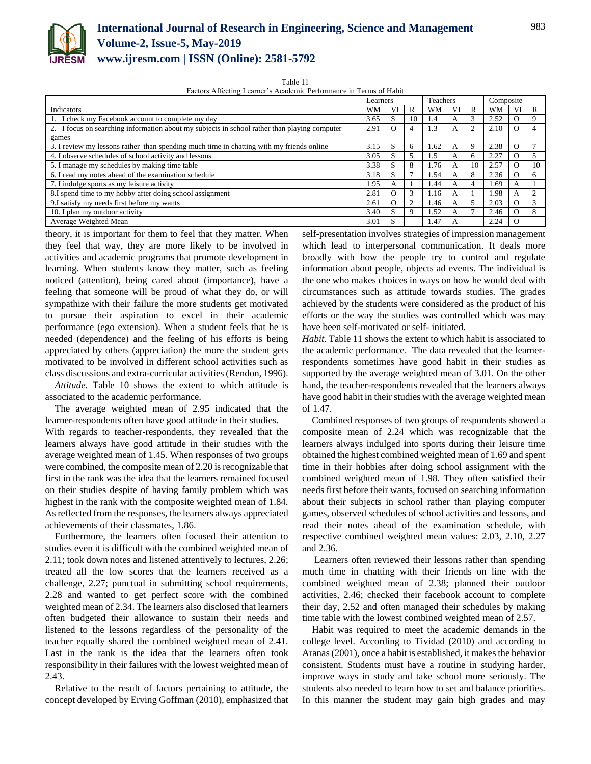

### **International Journal of Research in Engineering, Science and Management Volume-2, Issue-5, May-2019 www.ijresm.com | ISSN (Online): 2581-5792**

Table 11

Factors Affecting Learner's Academic Performance in Terms of Habit

|                                                                                              | Learners |          | Teachers |      | Composite |                |      |          |          |
|----------------------------------------------------------------------------------------------|----------|----------|----------|------|-----------|----------------|------|----------|----------|
| Indicators                                                                                   | WM       | VI       | R        | WМ   | VI        | R              | WМ   | VI       | R        |
| 1. I check my Facebook account to complete my day                                            | 3.65     | S        | 10       | .4   | А         | 3              | 2.52 | $\Omega$ |          |
| 2. I focus on searching information about my subjects in school rather than playing computer | 2.91     | $\Omega$ |          | 1.3  | A         | $\overline{c}$ | 2.10 | O        |          |
| games                                                                                        |          |          |          |      |           |                |      |          |          |
| 3. I review my lessons rather than spending much time in chatting with my friends online     | 3.15     | S        |          | .62  | А         | 9              | 2.38 | $\Omega$ |          |
| 4. I observe schedules of school activity and lessons                                        | 3.05     | S        |          | .5   | А         | 6              | 2.27 | Ω        |          |
| 5. I manage my schedules by making time table                                                | 3.38     | S        | 8        | 1.76 | А         | 10             | 2.57 | $\Omega$ | 10       |
| 6. I read my notes ahead of the examination schedule                                         | 3.18     | S        |          | l.54 | A         | 8              | 2.36 | O        |          |
| 7. I indulge sports as my leisure activity                                                   | 1.95     | A        |          | .44  | A         | 4              | .69  | A        |          |
| 8.I spend time to my hobby after doing school assignment                                     | 2.81     | $\Omega$ |          | 1.16 | A         |                | 1.98 | A        |          |
| 9.I satisfy my needs first before my wants                                                   | 2.61     | $\Omega$ |          | .46  | A         | 5              | 2.03 | $\Omega$ |          |
| 10. I plan my outdoor activity                                                               | 3.40     | S        |          | l.52 | A         |                | 2.46 | $\Omega$ | $\Omega$ |
| Average Weighted Mean                                                                        | 3.01     | S        |          | . 47 | A         |                | 2.24 | $\Omega$ |          |

theory, it is important for them to feel that they matter. When they feel that way, they are more likely to be involved in activities and academic programs that promote development in learning. When students know they matter, such as feeling noticed (attention), being cared about (importance), have a feeling that someone will be proud of what they do, or will sympathize with their failure the more students get motivated to pursue their aspiration to excel in their academic performance (ego extension). When a student feels that he is needed (dependence) and the feeling of his efforts is being appreciated by others (appreciation) the more the student gets motivated to be involved in different school activities such as class discussions and extra-curricular activities (Rendon, 1996).

*Attitude.* Table 10 shows the extent to which attitude is associated to the academic performance.

The average weighted mean of 2.95 indicated that the learner-respondents often have good attitude in their studies.

With regards to teacher-respondents, they revealed that the learners always have good attitude in their studies with the average weighted mean of 1.45. When responses of two groups were combined, the composite mean of 2.20 is recognizable that first in the rank was the idea that the learners remained focused on their studies despite of having family problem which was highest in the rank with the composite weighted mean of 1.84. As reflected from the responses, the learners always appreciated achievements of their classmates, 1.86.

Furthermore, the learners often focused their attention to studies even it is difficult with the combined weighted mean of 2.11; took down notes and listened attentively to lectures, 2.26; treated all the low scores that the learners received as a challenge, 2.27; punctual in submitting school requirements, 2.28 and wanted to get perfect score with the combined weighted mean of 2.34. The learners also disclosed that learners often budgeted their allowance to sustain their needs and listened to the lessons regardless of the personality of the teacher equally shared the combined weighted mean of 2.41. Last in the rank is the idea that the learners often took responsibility in their failures with the lowest weighted mean of 2.43.

Relative to the result of factors pertaining to attitude, the concept developed by Erving Goffman (2010), emphasized that

self-presentation involves strategies of impression management which lead to interpersonal communication. It deals more broadly with how the people try to control and regulate information about people, objects ad events. The individual is the one who makes choices in ways on how he would deal with circumstances such as attitude towards studies. The grades achieved by the students were considered as the product of his efforts or the way the studies was controlled which was may have been self-motivated or self- initiated.

*Habit.* Table 11 shows the extent to which habit is associated to the academic performance. The data revealed that the learnerrespondents sometimes have good habit in their studies as supported by the average weighted mean of 3.01. On the other hand, the teacher-respondents revealed that the learners always have good habit in their studies with the average weighted mean of 1.47.

Combined responses of two groups of respondents showed a composite mean of 2.24 which was recognizable that the learners always indulged into sports during their leisure time obtained the highest combined weighted mean of 1.69 and spent time in their hobbies after doing school assignment with the combined weighted mean of 1.98. They often satisfied their needs first before their wants, focused on searching information about their subjects in school rather than playing computer games, observed schedules of school activities and lessons, and read their notes ahead of the examination schedule, with respective combined weighted mean values: 2.03, 2.10, 2.27 and 2.36.

Learners often reviewed their lessons rather than spending much time in chatting with their friends on line with the combined weighted mean of 2.38; planned their outdoor activities, 2.46; checked their facebook account to complete their day, 2.52 and often managed their schedules by making time table with the lowest combined weighted mean of 2.57.

Habit was required to meet the academic demands in the college level. According to Tividad (2010) and according to Aranas (2001), once a habit is established, it makes the behavior consistent. Students must have a routine in studying harder, improve ways in study and take school more seriously. The students also needed to learn how to set and balance priorities. In this manner the student may gain high grades and may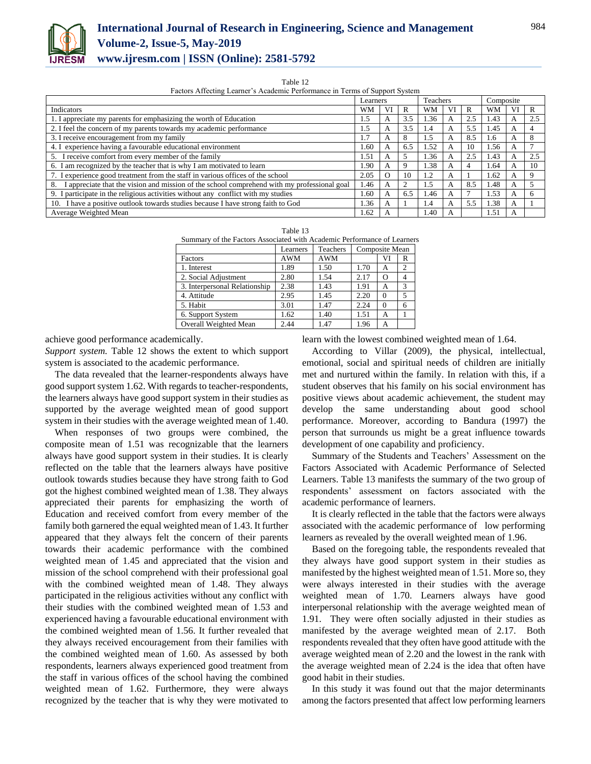

## **International Journal of Research in Engineering, Science and Management Volume-2, Issue-5, May-2019**

**www.ijresm.com | ISSN (Online): 2581-5792** 

Table 12

Factors Affecting Learner's Academic Performance in Terms of Support System

|                                                                                                   | Learners |          | Teachers |      | Composite |     |      |    |     |
|---------------------------------------------------------------------------------------------------|----------|----------|----------|------|-----------|-----|------|----|-----|
| Indicators                                                                                        | WМ       | VI       | R        | WМ   | VI        | R   | WМ   | VI |     |
| 1. I appreciate my parents for emphasizing the worth of Education                                 | 1.5      | А        | 3.5      | 1.36 |           | 2.5 | 1.43 | A  | 2.5 |
| 2. I feel the concern of my parents towards my academic performance                               | . . 5    | А        | 3.5      | 1.4  | A         | 5.5 | 1.45 | A  |     |
| 3. I receive encouragement from my family                                                         | 1.7      | А        | 8        | 1.5  | A         | 8.5 | 1.6  | А  |     |
| 4. I experience having a favourable educational environment                                       | 1.60     | А        | 6.5      | 1.52 | A         | 10  | 1.56 | A  |     |
| 5. I receive comfort from every member of the family                                              | 1.51     | А        |          | 1.36 |           | 2.5 | 1.43 | A  | 2.5 |
| 6. I am recognized by the teacher that is why I am motivated to learn                             | .90      | A        |          | 1.38 |           | 4   | 1.64 | A  | 10  |
| 7. I experience good treatment from the staff in various offices of the school                    | 2.05     | $\Omega$ | 10       | 1.2  | A         |     | 1.62 | A  |     |
| I appreciate that the vision and mission of the school comprehend with my professional goal<br>8. | 1.46     | А        | 2        | 1.5  | А         | 8.5 | 1.48 | А  |     |
| 9. I participate in the religious activities without any conflict with my studies                 | l.60     | A        | 6.5      | 1.46 | A         |     | 1.53 | A  |     |
| 10. I have a positive outlook towards studies because I have strong faith to God                  | .36      | А        |          | 1.4  | А         | 5.5 | 1.38 | A  |     |
| Average Weighted Mean                                                                             | 1.62     | А        |          | 1.40 | A         |     | 1.51 | A  |     |

| г<br>н |  |
|--------|--|
|--------|--|

| Summary of the Factors Associated with Academic Performance of Learners |          |          |                |          |                          |  |  |  |
|-------------------------------------------------------------------------|----------|----------|----------------|----------|--------------------------|--|--|--|
|                                                                         | Learners | Teachers | Composite Mean |          |                          |  |  |  |
| Factors                                                                 | AWM      | AWM      |                | VI       | R                        |  |  |  |
| 1. Interest                                                             | 1.89     | 1.50     | 1.70           | A        | $\overline{c}$           |  |  |  |
| 2. Social Adjustment                                                    | 2.80     | 1.54     | 2.17           | $\Omega$ | 4                        |  |  |  |
| 3. Interpersonal Relationship                                           | 2.38     | 1.43     | 1.91           | A        | 3                        |  |  |  |
| 4. Attitude                                                             | 2.95     | 1.45     | 2.20           | $\Omega$ | $\overline{\phantom{1}}$ |  |  |  |
| 5. Habit                                                                | 3.01     | 1.47     | 2.24           | $\Omega$ | 6                        |  |  |  |
| 6. Support System                                                       | 1.62     | 1.40     | 1.51           | A        |                          |  |  |  |
| Overall Weighted Mean                                                   | 2.44     | 1.47     | 1.96           |          |                          |  |  |  |

achieve good performance academically.

*Support system.* Table 12 shows the extent to which support system is associated to the academic performance.

The data revealed that the learner-respondents always have good support system 1.62. With regards to teacher-respondents, the learners always have good support system in their studies as supported by the average weighted mean of good support system in their studies with the average weighted mean of 1.40.

When responses of two groups were combined, the composite mean of 1.51 was recognizable that the learners always have good support system in their studies. It is clearly reflected on the table that the learners always have positive outlook towards studies because they have strong faith to God got the highest combined weighted mean of 1.38. They always appreciated their parents for emphasizing the worth of Education and received comfort from every member of the family both garnered the equal weighted mean of 1.43. It further appeared that they always felt the concern of their parents towards their academic performance with the combined weighted mean of 1.45 and appreciated that the vision and mission of the school comprehend with their professional goal with the combined weighted mean of 1.48. They always participated in the religious activities without any conflict with their studies with the combined weighted mean of 1.53 and experienced having a favourable educational environment with the combined weighted mean of 1.56. It further revealed that they always received encouragement from their families with the combined weighted mean of 1.60. As assessed by both respondents, learners always experienced good treatment from the staff in various offices of the school having the combined weighted mean of 1.62. Furthermore, they were always recognized by the teacher that is why they were motivated to

learn with the lowest combined weighted mean of 1.64.

According to Villar (2009), the physical, intellectual, emotional, social and spiritual needs of children are initially met and nurtured within the family. In relation with this, if a student observes that his family on his social environment has positive views about academic achievement, the student may develop the same understanding about good school performance. Moreover, according to Bandura (1997) the person that surrounds us might be a great influence towards development of one capability and proficiency.

Summary of the Students and Teachers' Assessment on the Factors Associated with Academic Performance of Selected Learners. Table 13 manifests the summary of the two group of respondents' assessment on factors associated with the academic performance of learners.

It is clearly reflected in the table that the factors were always associated with the academic performance of low performing learners as revealed by the overall weighted mean of 1.96.

Based on the foregoing table, the respondents revealed that they always have good support system in their studies as manifested by the highest weighted mean of 1.51. More so, they were always interested in their studies with the average weighted mean of 1.70. Learners always have good interpersonal relationship with the average weighted mean of 1.91. They were often socially adjusted in their studies as manifested by the average weighted mean of 2.17. Both respondents revealed that they often have good attitude with the average weighted mean of 2.20 and the lowest in the rank with the average weighted mean of 2.24 is the idea that often have good habit in their studies.

In this study it was found out that the major determinants among the factors presented that affect low performing learners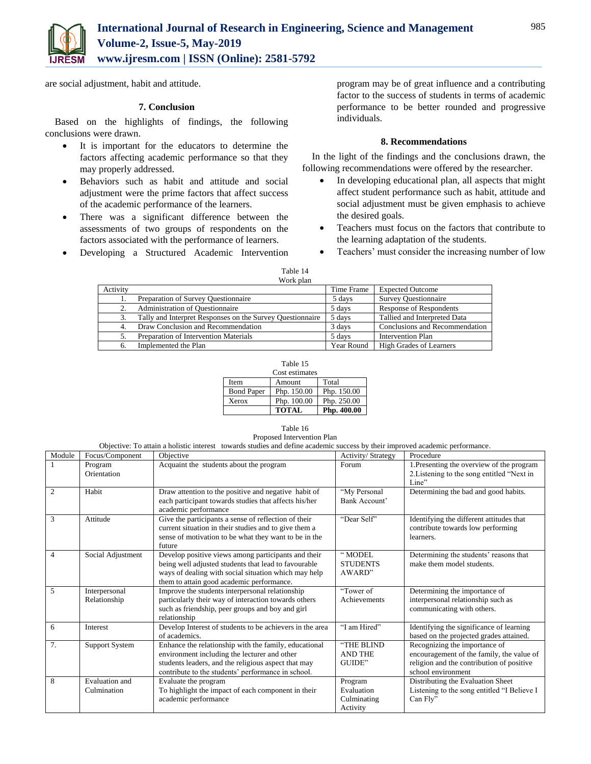

are social adjustment, habit and attitude.

#### **7. Conclusion**

Based on the highlights of findings, the following conclusions were drawn.

- It is important for the educators to determine the factors affecting academic performance so that they may properly addressed.
- Behaviors such as habit and attitude and social adjustment were the prime factors that affect success of the academic performance of the learners.
- There was a significant difference between the assessments of two groups of respondents on the factors associated with the performance of learners.
- Developing a Structured Academic Intervention

program may be of great influence and a contributing factor to the success of students in terms of academic performance to be better rounded and progressive individuals.

#### **8. Recommendations**

In the light of the findings and the conclusions drawn, the following recommendations were offered by the researcher.

- In developing educational plan, all aspects that might affect student performance such as habit, attitude and social adjustment must be given emphasis to achieve the desired goals.
- Teachers must focus on the factors that contribute to the learning adaptation of the students.
- Teachers' must consider the increasing number of low

| Fable |  |
|-------|--|
|       |  |

|          | Work plan                                                 |            |                                |
|----------|-----------------------------------------------------------|------------|--------------------------------|
| Activity |                                                           | Time Frame | <b>Expected Outcome</b>        |
|          | Preparation of Survey Questionnaire                       | 5 days     | <b>Survey Questionnaire</b>    |
| 2.       | <b>Administration of Questionnaire</b>                    | 5 days     | <b>Response of Respondents</b> |
| 3.       | Tally and Interpret Responses on the Survey Questionnaire | 5 days     | Tallied and Interpreted Data   |
| 4.       | Draw Conclusion and Recommendation                        | 3 days     | Conclusions and Recommendation |
|          | Preparation of Intervention Materials                     | 5 days     | <b>Intervention Plan</b>       |
| 6.       | Implemented the Plan                                      | Year Round | <b>High Grades of Learners</b> |

| l'able. |  |
|---------|--|
|         |  |

| Cost estimates    |              |             |  |  |  |  |  |
|-------------------|--------------|-------------|--|--|--|--|--|
| <b>Item</b>       | Amount       | Total       |  |  |  |  |  |
| <b>Bond Paper</b> | Php. 150.00  | Php. 150.00 |  |  |  |  |  |
| Xerox             | Php. 100.00  | Php. 250.00 |  |  |  |  |  |
|                   | <b>TOTAL</b> | Php. 400.00 |  |  |  |  |  |

Table 16 Proposed Intervention Plan Objective: To attain a holistic interest towards studies and define academic success by their improved academic performance.

| Module         | Focus/Component               | Objective                                                                                                                                                                                                          | Activity/ Strategy                               | Procedure                                                                                                                                     |
|----------------|-------------------------------|--------------------------------------------------------------------------------------------------------------------------------------------------------------------------------------------------------------------|--------------------------------------------------|-----------------------------------------------------------------------------------------------------------------------------------------------|
| $\mathbf{1}$   | Program<br>Orientation        | Acquaint the students about the program                                                                                                                                                                            | Forum                                            | 1. Presenting the overview of the program<br>2. Listening to the song entitled "Next in<br>Line"                                              |
| 2              | Habit                         | Draw attention to the positive and negative habit of<br>each participant towards studies that affects his/her<br>academic performance                                                                              | "My Personal<br>Bank Account'                    | Determining the bad and good habits.                                                                                                          |
| 3              | Attitude                      | Give the participants a sense of reflection of their<br>current situation in their studies and to give them a<br>sense of motivation to be what they want to be in the<br>future                                   | "Dear Self"                                      | Identifying the different attitudes that<br>contribute towards low performing<br>learners.                                                    |
| $\overline{4}$ | Social Adjustment             | Develop positive views among participants and their<br>being well adjusted students that lead to favourable<br>ways of dealing with social situation which may help<br>them to attain good academic performance.   | " MODEL<br><b>STUDENTS</b><br>AWARD"             | Determining the students' reasons that<br>make them model students.                                                                           |
| 5              | Interpersonal<br>Relationship | Improve the students interpersonal relationship<br>particularly their way of interaction towards others<br>such as friendship, peer groups and boy and girl<br>relationship                                        | "Tower of<br>Achievements                        | Determining the importance of<br>interpersonal relationship such as<br>communicating with others.                                             |
| 6              | Interest                      | Develop Interest of students to be achievers in the area<br>of academics.                                                                                                                                          | "I am Hired"                                     | Identifying the significance of learning<br>based on the projected grades attained.                                                           |
| 7.             | <b>Support System</b>         | Enhance the relationship with the family, educational<br>environment including the lecturer and other<br>students leaders, and the religious aspect that may<br>contribute to the students' performance in school. | "THE BLIND<br><b>AND THE</b><br>GUIDE"           | Recognizing the importance of<br>encouragement of the family, the value of<br>religion and the contribution of positive<br>school environment |
| 8              | Evaluation and<br>Culmination | Evaluate the program<br>To highlight the impact of each component in their<br>academic performance                                                                                                                 | Program<br>Evaluation<br>Culminating<br>Activity | Distributing the Evaluation Sheet<br>Listening to the song entitled "I Believe I<br>Can Fly"                                                  |